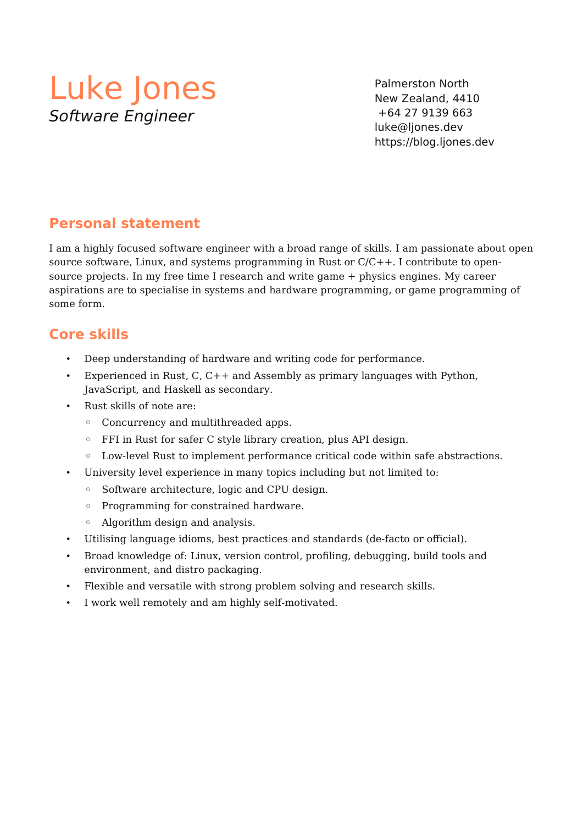# Luke Jones Software Engineer

Palmerston North New Zealand, 4410 +64 27 9139 663 luke@ljones.dev https://blog.ljones.dev

## **Personal statement**

I am a highly focused software engineer with a broad range of skills. I am passionate about open source software, Linux, and systems programming in Rust or C/C++. I contribute to opensource projects. In my free time I research and write game + physics engines. My career aspirations are to specialise in systems and hardware programming, or game programming of some form.

## **Core skills**

- Deep understanding of hardware and writing code for performance.
- Experienced in Rust, C, C++ and Assembly as primary languages with Python, JavaScript, and Haskell as secondary.
- Rust skills of note are:
	- Concurrency and multithreaded apps.
	- FFI in Rust for safer C style library creation, plus API design.
	- Low-level Rust to implement performance critical code within safe abstractions.
- University level experience in many topics including but not limited to:
	- Software architecture, logic and CPU design.
	- Programming for constrained hardware.
	- Algorithm design and analysis.
- Utilising language idioms, best practices and standards (de-facto or official).
- Broad knowledge of: Linux, version control, profiling, debugging, build tools and environment, and distro packaging.
- Flexible and versatile with strong problem solving and research skills.
- I work well remotely and am highly self-motivated.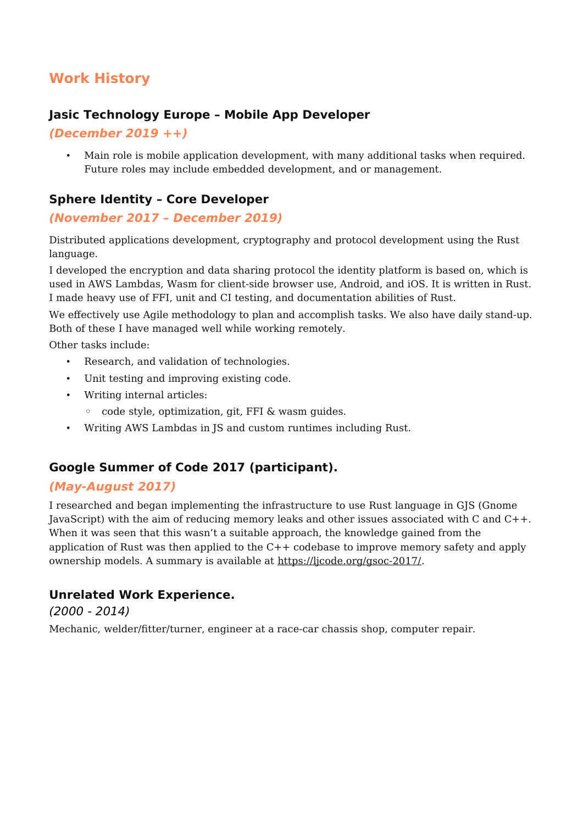# **Work History**

#### **Jasic Technology Europe – Mobile App Developer**

#### **(December 2019 ++)**

• Main role is mobile application development, with many additional tasks when required. Future roles may include embedded development, and or management.

#### **Sphere Identity – Core Developer**

#### **(November 2017 – December 2019)**

Distributed applications development, cryptography and protocol development using the Rust language.

I developed the encryption and data sharing protocol the identity platform is based on, which is used in AWS Lambdas, Wasm for client-side browser use, Android, and iOS. It is written in Rust. I made heavy use of FFI, unit and CI testing, and documentation abilities of Rust.

We effectively use Agile methodology to plan and accomplish tasks. We also have daily stand-up. Both of these I have managed well while working remotely.

Other tasks include:

- Research, and validation of technologies.
- Unit testing and improving existing code.
- Writing internal articles:
	- code style, optimization, git, FFI & wasm guides.
- Writing AWS Lambdas in JS and custom runtimes including Rust.

### **Google Summer of Code 2017 (participant).**

#### **(May-August 2017)**

I researched and began implementing the infrastructure to use Rust language in GJS (Gnome JavaScript) with the aim of reducing memory leaks and other issues associated with C and C++. When it was seen that this wasn't a suitable approach, the knowledge gained from the application of Rust was then applied to the C++ codebase to improve memory safety and apply ownership models. A summary is available at<https://ljcode.org/gsoc-2017/>.

#### **Unrelated Work Experience.**

(2000 - 2014)

Mechanic, welder/fitter/turner, engineer at a race-car chassis shop, computer repair.